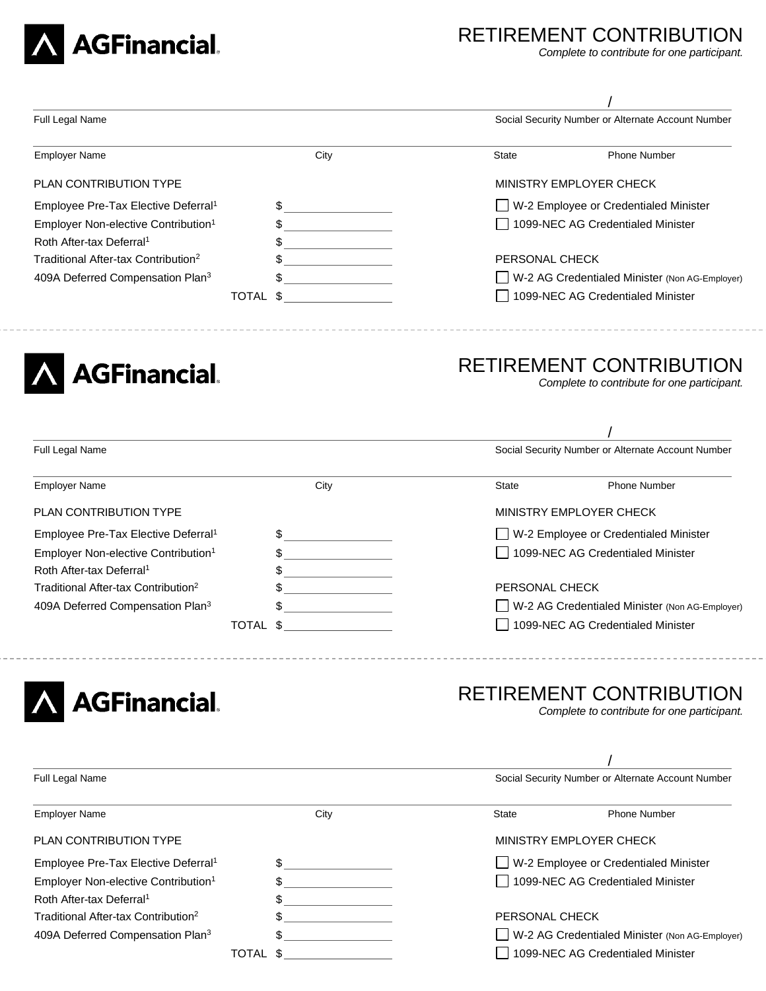

## RETIREMENT CONTRIBUTION

/

*Complete to contribute for one participant.*

| Full Legal Name                                                                                                                                                                                                                                 |                             | Social Security Number or Alternate Account Number |                                                                        |  |
|-------------------------------------------------------------------------------------------------------------------------------------------------------------------------------------------------------------------------------------------------|-----------------------------|----------------------------------------------------|------------------------------------------------------------------------|--|
| <b>Employer Name</b>                                                                                                                                                                                                                            | City                        | State                                              | <b>Phone Number</b>                                                    |  |
| PLAN CONTRIBUTION TYPE                                                                                                                                                                                                                          |                             |                                                    | MINISTRY EMPLOYER CHECK                                                |  |
| Employee Pre-Tax Elective Deferral <sup>1</sup>                                                                                                                                                                                                 | \$                          |                                                    | W-2 Employee or Credentialed Minister                                  |  |
| Employer Non-elective Contribution <sup>1</sup>                                                                                                                                                                                                 | \$                          | 1099-NEC AG Credentialed Minister                  |                                                                        |  |
| Roth After-tax Deferral <sup>1</sup>                                                                                                                                                                                                            | \$                          |                                                    |                                                                        |  |
| Traditional After-tax Contribution <sup>2</sup>                                                                                                                                                                                                 | \$                          | PERSONAL CHECK                                     |                                                                        |  |
| 409A Deferred Compensation Plan <sup>3</sup>                                                                                                                                                                                                    | \$                          | W-2 AG Credentialed Minister (Non AG-Employer)     |                                                                        |  |
|                                                                                                                                                                                                                                                 | TOTAL \$<br>--------------- |                                                    | 1099-NEC AG Credentialed Minister                                      |  |
|                                                                                                                                                                                                                                                 |                             |                                                    |                                                                        |  |
| <b>AGFinancial</b>                                                                                                                                                                                                                              |                             |                                                    | RETIREMENT CONTRIBUTION<br>Complete to contribute for one participant. |  |
| Full Legal Name                                                                                                                                                                                                                                 |                             |                                                    | Social Security Number or Alternate Account Number                     |  |
|                                                                                                                                                                                                                                                 | City                        | <b>State</b>                                       | <b>Phone Number</b>                                                    |  |
|                                                                                                                                                                                                                                                 |                             |                                                    | MINISTRY EMPLOYER CHECK                                                |  |
|                                                                                                                                                                                                                                                 | \$                          |                                                    | W-2 Employee or Credentialed Minister                                  |  |
|                                                                                                                                                                                                                                                 | \$                          |                                                    | 1099-NEC AG Credentialed Minister                                      |  |
|                                                                                                                                                                                                                                                 | \$                          |                                                    |                                                                        |  |
| <b>Employer Name</b><br>PLAN CONTRIBUTION TYPE<br>Employee Pre-Tax Elective Deferral <sup>1</sup><br>Employer Non-elective Contribution <sup>1</sup><br>Roth After-tax Deferral <sup>1</sup><br>Traditional After-tax Contribution <sup>2</sup> | \$                          | PERSONAL CHECK                                     |                                                                        |  |
| 409A Deferred Compensation Plan <sup>3</sup>                                                                                                                                                                                                    | \$                          |                                                    | W-2 AG Credentialed Minister (Non AG-Employer)                         |  |
|                                                                                                                                                                                                                                                 | \$<br><b>TOTAL</b>          |                                                    | 1099-NEC AG Credentialed Minister                                      |  |

| Full Legal Name                                 |      |                                   | Social Security Number or Alternate Account Number |  |
|-------------------------------------------------|------|-----------------------------------|----------------------------------------------------|--|
| <b>Employer Name</b>                            | City | State                             | <b>Phone Number</b>                                |  |
| <b>PLAN CONTRIBUTION TYPE</b>                   |      |                                   | MINISTRY EMPLOYER CHECK                            |  |
| Employee Pre-Tax Elective Deferral <sup>1</sup> | \$   |                                   | W-2 Employee or Credentialed Minister              |  |
| Employer Non-elective Contribution <sup>1</sup> | \$   |                                   | 1099-NEC AG Credentialed Minister                  |  |
| Roth After-tax Deferral <sup>1</sup>            | \$   |                                   |                                                    |  |
| Traditional After-tax Contribution <sup>2</sup> | \$   |                                   | PERSONAL CHECK                                     |  |
| 409A Deferred Compensation Plan <sup>3</sup>    | \$   |                                   | W-2 AG Credentialed Minister (Non AG-Employer)     |  |
| TOTAL \$                                        |      | 1099-NEC AG Credentialed Minister |                                                    |  |